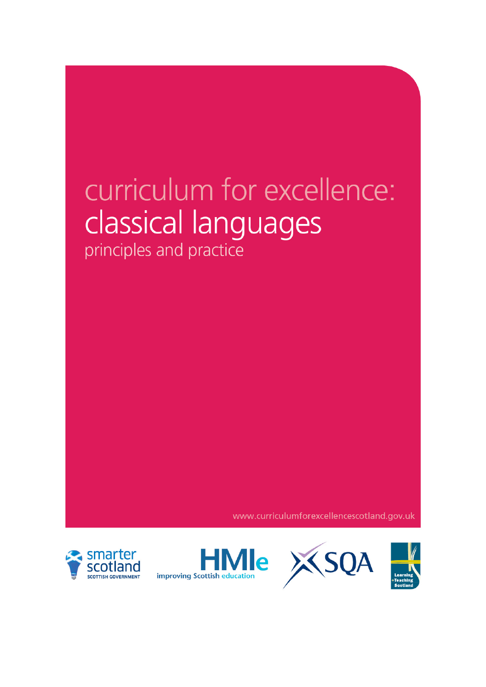# curriculum for excellence: classical languages

principles and practice

www.curriculumforexcellencescotland.gov.uk





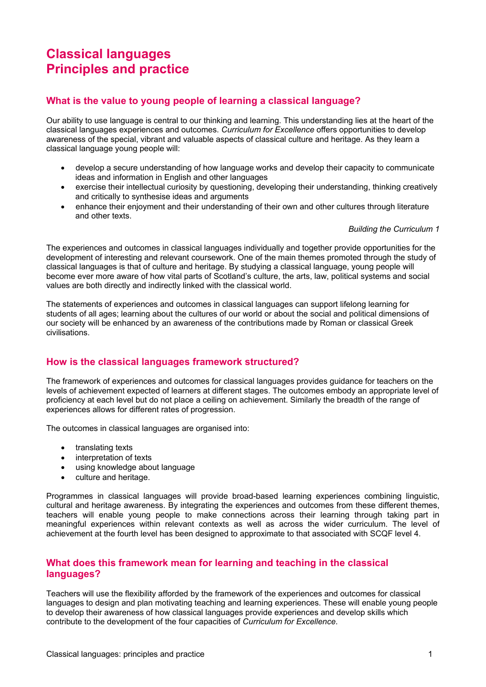## **Classical languages Principles and practice**

### **What is the value to young people of learning a classical language?**

Our ability to use language is central to our thinking and learning. This understanding lies at the heart of the classical languages experiences and outcomes. *Curriculum for Excellence* offers opportunities to develop awareness of the special, vibrant and valuable aspects of classical culture and heritage. As they learn a classical language young people will:

- develop a secure understanding of how language works and develop their capacity to communicate ideas and information in English and other languages
- exercise their intellectual curiosity by questioning, developing their understanding, thinking creatively and critically to synthesise ideas and arguments
- enhance their enjoyment and their understanding of their own and other cultures through literature and other texts.

#### *Building the Curriculum 1*

The experiences and outcomes in classical languages individually and together provide opportunities for the development of interesting and relevant coursework. One of the main themes promoted through the study of classical languages is that of culture and heritage. By studying a classical language, young people will become ever more aware of how vital parts of Scotland's culture, the arts, law, political systems and social values are both directly and indirectly linked with the classical world.

The statements of experiences and outcomes in classical languages can support lifelong learning for students of all ages; learning about the cultures of our world or about the social and political dimensions of our society will be enhanced by an awareness of the contributions made by Roman or classical Greek civilisations.

#### **How is the classical languages framework structured?**

The framework of experiences and outcomes for classical languages provides guidance for teachers on the levels of achievement expected of learners at different stages. The outcomes embody an appropriate level of proficiency at each level but do not place a ceiling on achievement. Similarly the breadth of the range of experiences allows for different rates of progression.

The outcomes in classical languages are organised into:

- translating texts
- interpretation of texts
- using knowledge about language
- culture and heritage.

Programmes in classical languages will provide broad-based learning experiences combining linguistic, cultural and heritage awareness. By integrating the experiences and outcomes from these different themes, teachers will enable young people to make connections across their learning through taking part in meaningful experiences within relevant contexts as well as across the wider curriculum. The level of achievement at the fourth level has been designed to approximate to that associated with SCQF level 4.

#### **What does this framework mean for learning and teaching in the classical languages?**

Teachers will use the flexibility afforded by the framework of the experiences and outcomes for classical languages to design and plan motivating teaching and learning experiences. These will enable young people to develop their awareness of how classical languages provide experiences and develop skills which contribute to the development of the four capacities of *Curriculum for Excellence*.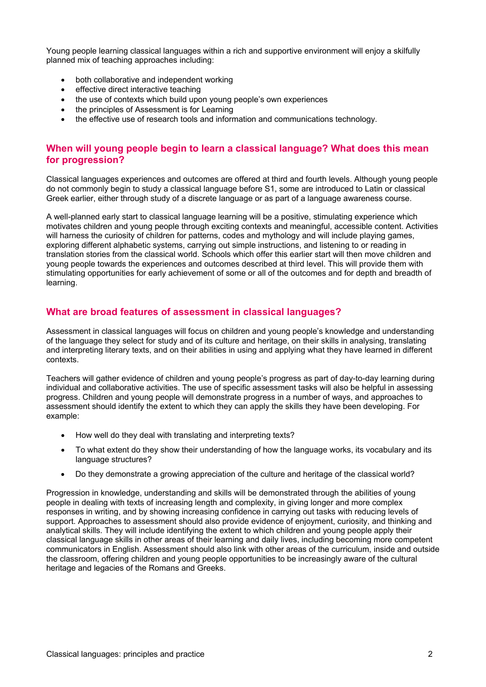Young people learning classical languages within a rich and supportive environment will enjoy a skilfully planned mix of teaching approaches including:

- both collaborative and independent working
- effective direct interactive teaching
- the use of contexts which build upon young people's own experiences
- the principles of Assessment is for Learning
- the effective use of research tools and information and communications technology.

#### **When will young people begin to learn a classical language? What does this mean for progression?**

Classical languages experiences and outcomes are offered at third and fourth levels. Although young people do not commonly begin to study a classical language before S1, some are introduced to Latin or classical Greek earlier, either through study of a discrete language or as part of a language awareness course.

A well-planned early start to classical language learning will be a positive, stimulating experience which motivates children and young people through exciting contexts and meaningful, accessible content. Activities will harness the curiosity of children for patterns, codes and mythology and will include playing games, exploring different alphabetic systems, carrying out simple instructions, and listening to or reading in translation stories from the classical world. Schools which offer this earlier start will then move children and young people towards the experiences and outcomes described at third level. This will provide them with stimulating opportunities for early achievement of some or all of the outcomes and for depth and breadth of learning.

#### **What are broad features of assessment in classical languages?**

Assessment in classical languages will focus on children and young people's knowledge and understanding of the language they select for study and of its culture and heritage, on their skills in analysing, translating and interpreting literary texts, and on their abilities in using and applying what they have learned in different contexts.

Teachers will gather evidence of children and young people's progress as part of day-to-day learning during individual and collaborative activities. The use of specific assessment tasks will also be helpful in assessing progress. Children and young people will demonstrate progress in a number of ways, and approaches to assessment should identify the extent to which they can apply the skills they have been developing. For example:

- How well do they deal with translating and interpreting texts?
- To what extent do they show their understanding of how the language works, its vocabulary and its language structures?
- Do they demonstrate a growing appreciation of the culture and heritage of the classical world?

Progression in knowledge, understanding and skills will be demonstrated through the abilities of young people in dealing with texts of increasing length and complexity, in giving longer and more complex responses in writing, and by showing increasing confidence in carrying out tasks with reducing levels of support. Approaches to assessment should also provide evidence of enjoyment, curiosity, and thinking and analytical skills. They will include identifying the extent to which children and young people apply their classical language skills in other areas of their learning and daily lives, including becoming more competent communicators in English. Assessment should also link with other areas of the curriculum, inside and outside the classroom, offering children and young people opportunities to be increasingly aware of the cultural heritage and legacies of the Romans and Greeks.